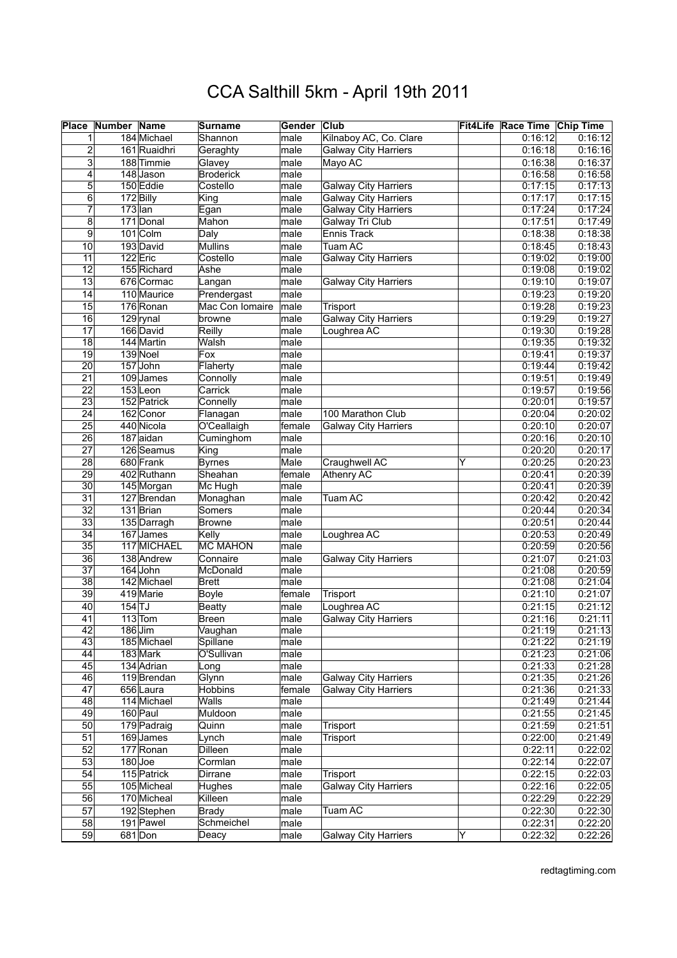|                       | <b>Place Number Name</b> |                       | Surname                | Gender       | <b>Club</b>                 |   | Fit4Life Race Time Chip Time |         |
|-----------------------|--------------------------|-----------------------|------------------------|--------------|-----------------------------|---|------------------------------|---------|
|                       |                          | 184 Michael           | Shannon                | male         | Kilnaboy AC, Co. Clare      |   | 0:16:12                      | 0:16:12 |
| $\overline{c}$        |                          | 161 Ruaidhri          | Geraghty               | male         | <b>Galway City Harriers</b> |   | 0:16:18                      | 0:16:16 |
| 3                     |                          | 188 Timmie            | Glavey                 | male         | Mayo AC                     |   | 0:16:38                      | 0:16:37 |
| 4                     |                          | 148 Jason             | <b>Broderick</b>       | male         |                             |   | 0:16:58                      | 0:16:58 |
| 5                     |                          | 150 Eddie             | Costello               | male         | <b>Galway City Harriers</b> |   | 0:17:15                      | 0:17:13 |
| $\overline{6}$        |                          | 172 Billy             | King                   | male         | <b>Galway City Harriers</b> |   | 0:17:17                      | 0:17:15 |
| 7                     | $173$ lan                |                       | Egan                   | male         | <b>Galway City Harriers</b> |   | 0:17:24                      | 0:17:24 |
| 8                     |                          | 171 Donal             | Mahon                  | male         | Galway Tri Club             |   | 0:17:51                      | 0:17:49 |
| 9                     |                          | 101 Colm              |                        |              | Ennis Track                 |   | 0:18:38                      | 0:18:38 |
|                       |                          |                       | Daly<br><b>Mullins</b> | male         | Tuam AC                     |   | 0:18:45                      | 0:18:43 |
| 10<br>11              |                          | 193 David<br>122 Eric | Costello               | male<br>male |                             |   | 0:19:02                      | 0:19:00 |
|                       |                          | 155 Richard           |                        |              | <b>Galway City Harriers</b> |   |                              | 0:19:02 |
| 12<br>$\overline{13}$ |                          | 676 Cormac            | Ashe                   | male         |                             |   | 0:19:08                      |         |
|                       |                          |                       | Langan                 | male         | <b>Galway City Harriers</b> |   | 0:19:10                      | 0:19:07 |
| $\overline{14}$       |                          | 110 Maurice           | Prendergast            | male         |                             |   | 0:19:23                      | 0:19:20 |
| 15                    |                          | 176 Ronan             | Mac Con Iomaire        | male         | Trisport                    |   | 0:19:28                      | 0:19:23 |
| 16                    |                          | $129$ rynal           | browne                 | male         | <b>Galway City Harriers</b> |   | 0:19:29                      | 0:19:27 |
| 17                    |                          | 166 David             | Reilly                 | male         | Loughrea AC                 |   | 0:19:30                      | 0:19:28 |
| $\overline{18}$       |                          | 144 Martin            | Walsh                  | male         |                             |   | 0:19:35                      | 0:19:32 |
| $\overline{19}$       |                          | 139 Noel              | Fox                    | male         |                             |   | 0:19:41                      | 0:19:37 |
| 20                    |                          | 157 John              | Flaherty               | male         |                             |   | 0:19:44                      | 0:19:42 |
| $\overline{21}$       |                          | 109 James             | Connolly               | male         |                             |   | 0:19:51                      | 0:19:49 |
| $\overline{22}$       |                          | $153$ Leon            | Carrick                | male         |                             |   | 0:19:57                      | 0:19:56 |
| $\overline{23}$       |                          | 152 Patrick           | Connelly               | male         |                             |   | 0:20:01                      | 0:19:57 |
| $\overline{24}$       |                          | 162 Conor             | Flanagan               | male         | 100 Marathon Club           |   | 0:20:04                      | 0:20:02 |
| 25                    |                          | 440 Nicola            | O'Ceallaigh            | female       | <b>Galway City Harriers</b> |   | 0:20:10                      | 0:20:07 |
| $\overline{26}$       |                          | 187 aidan             | Cuminghom              | male         |                             |   | 0:20:16                      | 0:20:10 |
| $\overline{27}$       |                          | 126 Seamus            | King                   | male         |                             |   | 0:20:20                      | 0:20:17 |
| $\overline{28}$       |                          | 680 Frank             | <b>Byrnes</b>          | Male         | Craughwell AC               | Y | 0:20:25                      | 0:20:23 |
| 29                    |                          | 402 Ruthann           | Sheahan                | female       | Athenry AC                  |   | 0:20:41                      | 0:20:39 |
| 30                    |                          | 145 Morgan            | Mc Hugh                | male         |                             |   | 0:20:41                      | 0:20:39 |
| $\overline{31}$       |                          | 127 Brendan           | Monaghan               | male         | Tuam AC                     |   | 0:20:42                      | 0:20:42 |
| $\overline{32}$       |                          | 131 Brian             | Somers                 | male         |                             |   | 0:20:44                      | 0:20:34 |
| $\overline{33}$       |                          | 135 Darragh           | <b>Browne</b>          | male         |                             |   | 0:20:51                      | 0:20:44 |
| $\overline{34}$       |                          | 167 James             | Kelly                  | male         | Loughrea AC                 |   | 0:20:53                      | 0:20:49 |
| $\overline{35}$       |                          | 117 MICHAEL           | <b>MC MAHON</b>        | male         |                             |   | 0:20:59                      | 0:20:56 |
| $\overline{36}$       |                          | 138 Andrew            | Connaire               | male         | <b>Galway City Harriers</b> |   | 0:21:07                      | 0:21:03 |
| $\overline{37}$       |                          | 164 John              | McDonald               | male         |                             |   | 0:21:08                      | 0:20:59 |
| $\overline{38}$       |                          | 142 Michael           | <b>Brett</b>           | male         |                             |   | 0:21:08                      | 0:21:04 |
| $\overline{39}$       |                          | 419 Marie             | <b>Boyle</b>           | female       | Trisport                    |   | 0:21:10                      | 0:21:07 |
| 40                    | $154$ TJ                 |                       | <b>Beatty</b>          | male         | Loughrea AC                 |   | 0:21:15                      | 0:21:12 |
| 41                    |                          | $113$ Tom             | <b>Breen</b>           | male         | <b>Galway City Harriers</b> |   | 0:21:16                      | 0:21:11 |
| 42                    |                          | $186$ Jim             | Vaughan                | male         |                             |   | 0:21:19                      | 0:21:13 |
| 43                    |                          | 185 Michael           | Spillane               | male         |                             |   | 0:21:22                      | 0:21:19 |
| 44                    |                          | 183 Mark              | O'Sullivan             | male         |                             |   | 0:21:23                      | 0:21:06 |
| 45                    |                          | 134 Adrian            | Long                   | male         |                             |   | 0:21:33                      | 0:21:28 |
| 46                    |                          | 119 Brendan           | Glynn                  | male         | <b>Galway City Harriers</b> |   | 0:21:35                      | 0:21:26 |
| $\overline{47}$       |                          | 656 Laura             | <b>Hobbins</b>         | female       | <b>Galway City Harriers</b> |   | 0:21:36                      | 0:21:33 |
| $\overline{48}$       |                          | 114 Michael           | Walls                  | male         |                             |   | 0:21:49                      | 0:21:44 |
| 49                    |                          | 160 Paul              | Muldoon                | male         |                             |   | 0:21:55                      | 0:21:45 |
| 50                    |                          | 179 Padraig           | Quinn                  | male         | Trisport                    |   | 0:21:59                      | 0:21:51 |
| $\overline{51}$       |                          | 169 James             | Lynch                  | male         | Trisport                    |   | 0:22:00                      | 0:21:49 |
| 52                    |                          | 177 Ronan             | Dilleen                | male         |                             |   | 0:22:11                      | 0:22:02 |
| 53                    |                          | $180$ Joe             | Cormlan                | male         |                             |   | 0:22:14                      | 0:22:07 |
| 54                    |                          | 115 Patrick           | Dirrane                | male         | Trisport                    |   | 0:22:15                      | 0:22:03 |
| 55                    |                          | 105 Micheal           | Hughes                 | male         | <b>Galway City Harriers</b> |   | 0:22:16                      | 0:22:05 |
| 56                    |                          | 170 Micheal           | Killeen                | male         |                             |   | 0:22:29                      | 0:22:29 |
| 57                    |                          | 192 Stephen           | <b>Brady</b>           | male         | Tuam AC                     |   | 0:22:30                      | 0:22:30 |
| 58                    |                          | 191 Pawel             | Schmeichel             | male         |                             |   | 0:22:31                      | 0:22:20 |
| 59                    |                          | 681 Don               | Deacy                  | male         | <b>Galway City Harriers</b> | Υ | 0:22:32                      | 0:22:26 |
|                       |                          |                       |                        |              |                             |   |                              |         |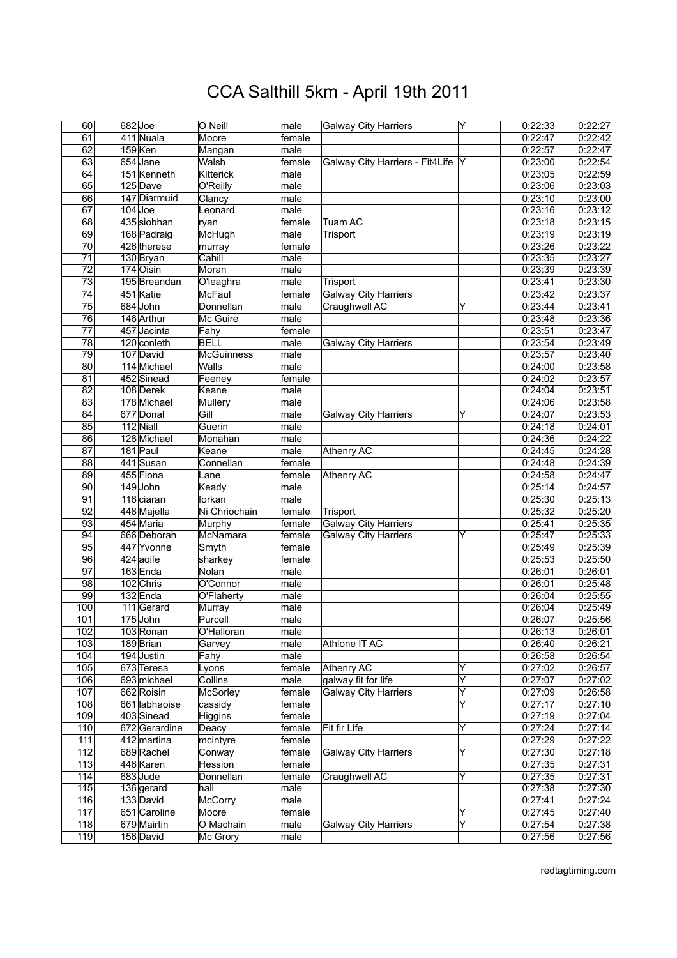|                 | 682Joe               |                   |        |                                   | Y                       | 0:22:33 |         |
|-----------------|----------------------|-------------------|--------|-----------------------------------|-------------------------|---------|---------|
| 60              |                      | O Neill           | male   | <b>Galway City Harriers</b>       |                         |         | 0:22:27 |
| 61              | 411 Nuala            | Moore             | female |                                   |                         | 0:22:47 | 0:22:42 |
| 62              | $159$ <sub>Ken</sub> | Mangan            | male   |                                   |                         | 0:22:57 | 0:22:47 |
| 63              | 654 Jane             | Walsh             | female | Galway City Harriers - Fit4Life Y |                         | 0:23:00 | 0:22:54 |
| 64              | 151 Kenneth          | <b>Kitterick</b>  | male   |                                   |                         | 0:23:05 | 0:22:59 |
| 65              | 125 Dave             | O'Reilly          | male   |                                   |                         | 0:23:06 | 0:23:03 |
| 66              | 147 Diarmuid         | Clancy            | male   |                                   |                         | 0:23:10 | 0:23:00 |
|                 |                      |                   |        |                                   |                         |         |         |
| $\overline{67}$ | $104$ Joe            | Leonard           | male   |                                   |                         | 0:23:16 | 0:23:12 |
| 68              | 435 siobhan          | ryan              | female | Tuam AC                           |                         | 0:23:18 | 0:23:15 |
| 69              | 168 Padraig          | McHugh            | male   | Trisport                          |                         | 0:23:19 | 0:23:19 |
| $\overline{70}$ | 426 therese          | murray            | female |                                   |                         | 0:23:26 | 0:23:22 |
| $\overline{71}$ | 130 Bryan            | Cahill            | male   |                                   |                         | 0:23:35 | 0:23:27 |
| $\overline{72}$ | 174 Oisin            | Moran             | male   |                                   |                         | 0:23:39 | 0:23:39 |
| $\overline{73}$ | 195 Breandan         | O'leaghra         | male   | <b>Trisport</b>                   |                         | 0:23:41 | 0:23:30 |
|                 |                      |                   |        |                                   |                         |         |         |
| $\overline{74}$ | 451 Katie            | McFaul            | female | <b>Galway City Harriers</b>       |                         | 0:23:42 | 0:23:37 |
| $\overline{75}$ | 684 John             | Donnellan         | male   | Craughwell AC                     | ΙY                      | 0:23:44 | 0:23:41 |
| 76              | 146 Arthur           | Mc Guire          | male   |                                   |                         | 0:23:48 | 0:23:36 |
| $\overline{77}$ | 457 Jacinta          | Fahy              | female |                                   |                         | 0:23:51 | 0:23:47 |
| 78              | 120 conleth          | <b>BELL</b>       | male   | <b>Galway City Harriers</b>       |                         | 0:23:54 | 0:23:49 |
| $\overline{79}$ | 107 David            | <b>McGuinness</b> | male   |                                   |                         | 0:23:57 | 0:23:40 |
| 80              | 114 Michael          | Walls             | male   |                                   |                         | 0:24:00 | 0:23:58 |
|                 |                      |                   |        |                                   |                         |         |         |
| 81              | 452 Sinead           | Feeney            | female |                                   |                         | 0:24:02 | 0:23:57 |
| $\overline{82}$ | 108 Derek            | Keane             | male   |                                   |                         | 0:24:04 | 0:23:51 |
| $\overline{83}$ | 178 Michael          | Mullery           | male   |                                   |                         | 0:24:06 | 0:23:58 |
| 84              | 677 Donal            | Gill              | male   | <b>Galway City Harriers</b>       | Y                       | 0:24:07 | 0:23:53 |
| 85              | 112 Niall            | Guerin            | male   |                                   |                         | 0:24:18 | 0:24:01 |
| $\overline{86}$ | 128 Michael          | Monahan           | male   |                                   |                         | 0:24:36 | 0:24:22 |
| $\overline{87}$ | 181 Paul             | Keane             | male   | Athenry AC                        |                         | 0:24:45 | 0:24:28 |
|                 |                      |                   |        |                                   |                         |         |         |
| $\overline{88}$ | 441 Susan            | Connellan         | female |                                   |                         | 0:24:48 | 0:24:39 |
| 89              | 455 Fiona            | Lane              | female | Athenry AC                        |                         | 0:24:58 | 0:24:47 |
| $\overline{90}$ | 149John              | Keady             | male   |                                   |                         | 0:25:14 | 0:24:57 |
| 91              | 116 ciaran           | forkan            | male   |                                   |                         | 0:25:30 | 0:25:13 |
| $\overline{92}$ | 448 Majella          | Ni Chriochain     | female | Trisport                          |                         | 0:25:32 | 0:25:20 |
| 93              | 454 Maria            | Murphy            | female | <b>Galway City Harriers</b>       |                         | 0:25:41 | 0:25:35 |
| 94              | 666 Deborah          | McNamara          | female | <b>Galway City Harriers</b>       | Y                       | 0:25:47 | 0:25:33 |
| $\overline{95}$ |                      |                   |        |                                   |                         |         |         |
|                 | 447 Yvonne           | Smyth             | female |                                   |                         | 0:25:49 | 0:25:39 |
| 96              | 424 aoife            | sharkey           | female |                                   |                         | 0:25:53 | 0:25:50 |
| $\overline{97}$ | 163 Enda             | Nolan             | male   |                                   |                         | 0:26:01 | 0:26:01 |
| 98              | 102 Chris            | O'Connor          | male   |                                   |                         | 0:26:01 | 0:25:48 |
| 99              | 132 Enda             | O'Flaherty        | male   |                                   |                         | 0:26:04 | 0:25:55 |
| 100             | 111 Gerard           | Murray            | male   |                                   |                         | 0:26:04 | 0:25:49 |
| 101             | 175John              | Purcell           | male   |                                   |                         | 0:26:07 | 0:25:56 |
| 102             | 103 Ronan            | O'Halloran        | male   |                                   |                         | 0:26:13 | 0:26:01 |
|                 |                      |                   |        |                                   |                         |         |         |
| 103             | 189 Brian            | Garvey            | male   | Athlone IT AC                     |                         | 0:26:40 | 0:26:21 |
| 104             | 194 Justin           | Fahy              | male   |                                   |                         | 0:26:58 | 0:26:54 |
| 105             | 673 Teresa           | Lyons             | female | Athenry AC                        | Y                       | 0:27:02 | 0:26:57 |
| 106             | 693 michael          | Collins           | male   | galway fit for life               | Υ                       | 0:27:07 | 0:27:02 |
| 107             | 662 Roisin           | <b>McSorley</b>   | female | <b>Galway City Harriers</b>       | $\overline{\mathsf{Y}}$ | 0:27:09 | 0:26:58 |
| 108             | 661 labhaoise        | cassidy           | female |                                   | Y                       | 0:27:17 | 0:27:10 |
| 109             | 403 Sinead           | <b>Higgins</b>    | female |                                   |                         | 0:27:19 | 0:27:04 |
| 110             | 672Gerardine         | Deacy             | female | Fit fir Life                      | Y                       | 0:27:24 | 0:27:14 |
|                 |                      |                   |        |                                   |                         |         |         |
| 111             | 412 martina          | mcintyre          | female |                                   |                         | 0:27:29 | 0:27:22 |
| 112             | 689 Rachel           | Conway            | female | <b>Galway City Harriers</b>       | Y                       | 0:27:30 | 0:27:18 |
| 113             | 446 Karen            | Hession           | female |                                   |                         | 0:27:35 | 0:27:31 |
| 114             | 683Jude              | Donnellan         | female | Craughwell AC                     | Y                       | 0:27:35 | 0:27:31 |
| 115             | 136 gerard           | hall              | male   |                                   |                         | 0:27:38 | 0:27:30 |
| 116             | 133 David            | McCorry           | male   |                                   |                         | 0:27:41 | 0:27:24 |
| 117             | 651 Caroline         | Moore             | female |                                   | Y                       | 0:27:45 | 0:27:40 |
|                 |                      |                   |        |                                   | Y                       |         |         |
| 118             | 679 Mairtin          | O Machain         | male   | <b>Galway City Harriers</b>       |                         | 0:27:54 | 0:27:38 |
| 119             | 156 David            | Mc Grory          | male   |                                   |                         | 0:27:56 | 0:27:56 |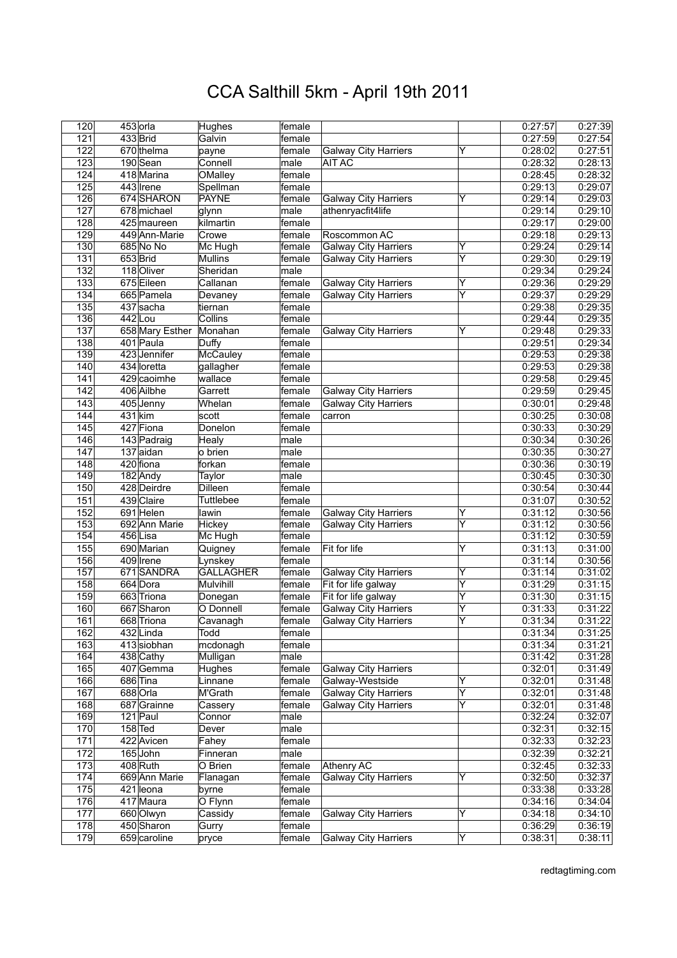| 120              | 453 orla        | Hughes           | female |                             |                         | 0:27:57 | 0:27:39 |
|------------------|-----------------|------------------|--------|-----------------------------|-------------------------|---------|---------|
| 121              | 433 Brid        | Galvin           | female |                             |                         | 0:27:59 | 0:27:54 |
| 122              | 670 thelma      | payne            | female | Galway City Harriers        | ΙY                      | 0:28:02 | 0:27:51 |
| 123              | 190 Sean        | Connell          | male   | <b>AIT AC</b>               |                         | 0:28:32 | 0:28:13 |
| 124              | 418 Marina      | OMalley          | female |                             |                         | 0:28:45 | 0:28:32 |
| 125              | 443 Irene       | Spellman         | female |                             |                         | 0:29:13 | 0:29:07 |
| 126              | 674 SHARON      | <b>PAYNE</b>     | female | <b>Galway City Harriers</b> | Y                       | 0:29:14 | 0:29:03 |
|                  |                 |                  |        |                             |                         |         |         |
| 127              | 678 michael     | glynn            | male   | athenryacfit4life           |                         | 0:29:14 | 0:29:10 |
| 128              | $425$ maureen   | kilmartin        | female |                             |                         | 0:29:17 | 0:29:00 |
| 129              | 449 Ann-Marie   | Crowe            | female | Roscommon AC                |                         | 0:29:18 | 0:29:13 |
| 130              | 685 No No       | Mc Hugh          | female | <b>Galway City Harriers</b> | Y                       | 0:29:24 | 0:29:14 |
| $\overline{131}$ | 653Brid         | <b>Mullins</b>   | female | Galway City Harriers        | Y                       | 0:29:30 | 0:29:19 |
| 132              | 118 Oliver      | Sheridan         | male   |                             |                         | 0:29:34 | 0:29:24 |
| 133              | 675 Eileen      | Callanan         | female | <b>Galway City Harriers</b> | Y                       | 0:29:36 | 0:29:29 |
| 134              | 665 Pamela      | Devaney          | female | Galway City Harriers        | $\overline{\mathsf{Y}}$ | 0:29:37 | 0:29:29 |
| 135              | 437 sacha       | tiernan          | female |                             |                         | 0:29:38 | 0:29:35 |
| 136              | $442$ Lou       | Collins          | female |                             |                         | 0:29:44 | 0:29:35 |
| 137              | 658 Mary Esther | Monahan          | female | <b>Galway City Harriers</b> | Y                       | 0:29:48 | 0:29:33 |
|                  |                 |                  | female |                             |                         |         |         |
| 138              | 401 Paula       | Duffy            |        |                             |                         | 0:29:51 | 0:29:34 |
| 139              | 423 Jennifer    | McCauley         | female |                             |                         | 0:29:53 | 0:29:38 |
| 140              | 434 loretta     | gallagher        | female |                             |                         | 0:29:53 | 0:29:38 |
| 141              | 429 caoimhe     | wallace          | female |                             |                         | 0:29:58 | 0:29:45 |
| 142              | 406 Ailbhe      | Garrett          | female | <b>Galway City Harriers</b> |                         | 0:29:59 | 0:29:45 |
| $\overline{143}$ | 405 Jenny       | Whelan           | female | Galway City Harriers        |                         | 0:30:01 | 0:29:48 |
| 144              | $431$ kim       | scott            | female | carron                      |                         | 0:30:25 | 0:30:08 |
| 145              | 427 Fiona       | Donelon          | female |                             |                         | 0:30:33 | 0:30:29 |
| 146              | 143 Padraig     | Healy            | male   |                             |                         | 0:30:34 | 0:30:26 |
| $\overline{147}$ | $137$ aidan     | o brien          | male   |                             |                         | 0:30:35 | 0:30:27 |
|                  |                 |                  |        |                             |                         |         |         |
| 148              | 420 fiona       | forkan           | female |                             |                         | 0:30:36 | 0:30:19 |
| 149              | 182 Andy        | Taylor           | male   |                             |                         | 0:30:45 | 0:30:30 |
| 150              | 428 Deirdre     | Dilleen          | female |                             |                         | 0:30:54 | 0:30:44 |
| 151              | 439 Claire      | <b>Tuttlebee</b> | female |                             |                         | 0:31:07 | 0:30:52 |
| 152              | 691 Helen       | lawin            | female | <b>Galway City Harriers</b> | Y                       | 0:31:12 | 0:30:56 |
| 153              | 692 Ann Marie   | Hickey           | female | <b>Galway City Harriers</b> | Υ                       | 0:31:12 | 0:30:56 |
| 154              | 456 Lisa        | Mc Hugh          | female |                             |                         | 0:31:12 | 0:30:59 |
| 155              | 690 Marian      | Quigney          | female | Fit for life                | Y                       | 0:31:13 | 0:31:00 |
| 156              | 409 Irene       | Lynskey          | female |                             |                         | 0:31:14 | 0:30:56 |
| 157              | 671SANDRA       | GALLAGHER        | female | <b>Galway City Harriers</b> | Y                       | 0:31:14 | 0:31:02 |
| 158              | 664 Dora        | Mulvihill        | female | Fit for life galway         | Y                       | 0:31:29 | 0:31:15 |
|                  |                 |                  |        |                             |                         |         |         |
| 159              | 663 Triona      | Donegan          | female | Fit for life galway         | Y                       | 0:31:30 | 0:31:15 |
| 160              | 667 Sharon      | O Donnell        | female | Galway City Harriers        | $\overline{\mathsf{Y}}$ | 0:31:33 | 0:31:22 |
| 161              | 668 Triona      | Cavanagh         | female | Galway City Harriers        | $\overline{\mathsf{Y}}$ | 0:31:34 | 0:31:22 |
| 162              | 432 Linda       | Todd             | female |                             |                         | 0:31:34 | 0:31:25 |
| 163              | 413 siobhan     | mcdonagh         | female |                             |                         | 0:31:34 | 0:31:21 |
| 164              | 438 Cathy       | Mulligan         | male   |                             |                         | 0:31:42 | 0:31:28 |
| 165              | 407 Gemma       | Hughes           | female | <b>Galway City Harriers</b> |                         | 0:32:01 | 0:31:49 |
| 166              | 686 Tina        | Linnane          | female | Galway-Westside             | Y                       | 0:32:01 | 0:31:48 |
| 167              | 688 Orla        | M'Grath          | female | <b>Galway City Harriers</b> | Y                       | 0:32:01 | 0:31:48 |
| 168              | 687 Grainne     | Cassery          | female | <b>Galway City Harriers</b> | $\overline{\mathsf{Y}}$ | 0:32:01 | 0:31:48 |
| 169              | 121 Paul        | Connor           | male   |                             |                         | 0:32:24 | 0:32:07 |
| 170              | $158$ Ted       |                  | male   |                             |                         | 0:32:31 | 0:32:15 |
|                  |                 | Dever            |        |                             |                         |         |         |
| 171              | 422 Avicen      | Fahey            | female |                             |                         | 0:32:33 | 0:32:23 |
| 172              | 165 John        | Finneran         | male   |                             |                         | 0:32:39 | 0:32:21 |
| 173              | 408 Ruth        | O Brien          | female | Athenry AC                  |                         | 0:32:45 | 0:32:33 |
| 174              | 669 Ann Marie   | Flanagan         | female | <b>Galway City Harriers</b> | Y                       | 0:32:50 | 0:32:37 |
| 175              | 421 leona       | byrne            | female |                             |                         | 0:33:38 | 0:33:28 |
| 176              | 417 Maura       | O Flynn          | female |                             |                         | 0:34:16 | 0:34:04 |
| 177              | 660 Olwyn       | Cassidy          | female | <b>Galway City Harriers</b> | Y                       | 0:34:18 | 0:34:10 |
| 178              | 450 Sharon      | Gurry            | female |                             |                         | 0:36:29 | 0:36:19 |
| 179              | 659 caroline    | pryce            | female | Galway City Harriers        | $\overline{\mathsf{Y}}$ | 0:38:31 | 0:38:11 |
|                  |                 |                  |        |                             |                         |         |         |